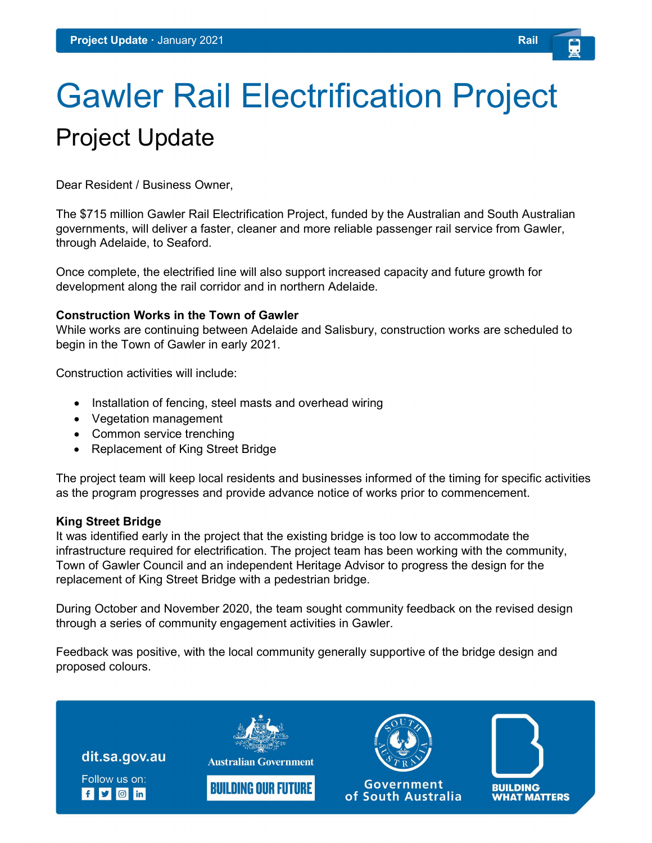# Gawler Rail Electrification Project Project Update

Dear Resident / Business Owner,

The \$715 million Gawler Rail Electrification Project, funded by the Australian and South Australian governments, will deliver a faster, cleaner and more reliable passenger rail service from Gawler, through Adelaide, to Seaford.

Once complete, the electrified line will also support increased capacity and future growth for development along the rail corridor and in northern Adelaide.

#### Construction Works in the Town of Gawler

While works are continuing between Adelaide and Salisbury, construction works are scheduled to begin in the Town of Gawler in early 2021.

Construction activities will include:

- Installation of fencing, steel masts and overhead wiring
- Vegetation management
- Common service trenching
- Replacement of King Street Bridge

The project team will keep local residents and businesses informed of the timing for specific activities as the program progresses and provide advance notice of works prior to commencement.

## King Street Bridge

It was identified early in the project that the existing bridge is too low to accommodate the infrastructure required for electrification. The project team has been working with the community, Town of Gawler Council and an independent Heritage Advisor to progress the design for the replacement of King Street Bridge with a pedestrian bridge.

During October and November 2020, the team sought community feedback on the revised design through a series of community engagement activities in Gawler.

Feedback was positive, with the local community generally supportive of the bridge design and proposed colours.